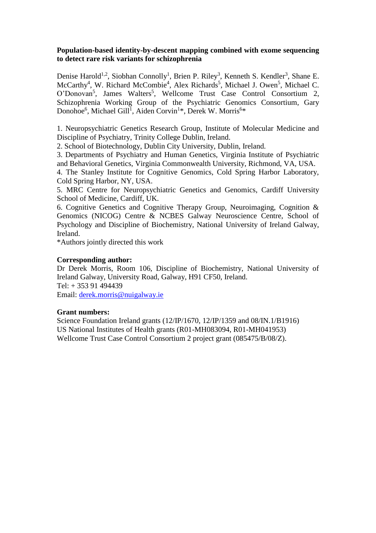## **Population-based identity-by-descent mapping combined with exome sequencing to detect rare risk variants for schizophrenia**

Denise Harold<sup>1,2</sup>, Siobhan Connolly<sup>1</sup>, Brien P. Riley<sup>3</sup>, Kenneth S. Kendler<sup>3</sup>, Shane E. McCarthy<sup>4</sup>, W. Richard McCombie<sup>4</sup>, Alex Richards<sup>5</sup>, Michael J. Owen<sup>5</sup>, Michael C. O'Donovan<sup>5</sup>, James Walters<sup>5</sup>, Wellcome Trust Case Control Consortium 2, Schizophrenia Working Group of the Psychiatric Genomics Consortium, Gary Donohoe<sup>6</sup>, Michael Gill<sup>1</sup>, Aiden Corvin<sup>1</sup>\*, Derek W. Morris<sup>6\*</sup>

1. Neuropsychiatric Genetics Research Group, Institute of Molecular Medicine and Discipline of Psychiatry, Trinity College Dublin, Ireland.

2. School of Biotechnology, Dublin City University, Dublin, Ireland.

3. Departments of Psychiatry and Human Genetics, Virginia Institute of Psychiatric and Behavioral Genetics, Virginia Commonwealth University, Richmond, VA, USA.

4. The Stanley Institute for Cognitive Genomics, Cold Spring Harbor Laboratory, Cold Spring Harbor, NY, USA.

5. MRC Centre for Neuropsychiatric Genetics and Genomics, Cardiff University School of Medicine, Cardiff, UK.

6. Cognitive Genetics and Cognitive Therapy Group, Neuroimaging, Cognition & Genomics (NICOG) Centre & NCBES Galway Neuroscience Centre, School of Psychology and Discipline of Biochemistry, National University of Ireland Galway, Ireland.

\*Authors jointly directed this work

## **Corresponding author:**

Dr Derek Morris, Room 106, Discipline of Biochemistry, National University of Ireland Galway, University Road, Galway, H91 CF50, Ireland. Tel: + 353 91 494439 Email: [derek.morris@nuigalway.ie](mailto:derek.morris@nuigalway.ie)

## **Grant numbers:**

Science Foundation Ireland grants (12/IP/1670, 12/IP/1359 and 08/IN.1/B1916) US National Institutes of Health grants (R01-MH083094, R01-MH041953) Wellcome Trust Case Control Consortium 2 project grant (085475/B/08/Z).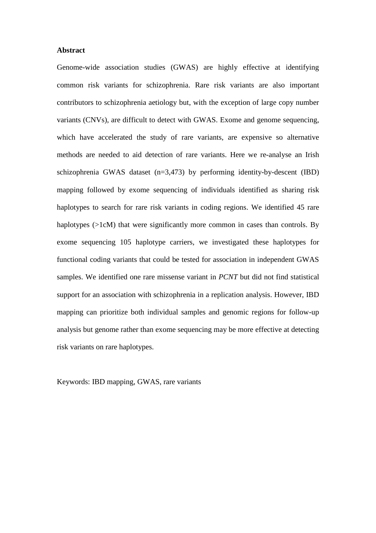### **Abstract**

Genome-wide association studies (GWAS) are highly effective at identifying common risk variants for schizophrenia. Rare risk variants are also important contributors to schizophrenia aetiology but, with the exception of large copy number variants (CNVs), are difficult to detect with GWAS. Exome and genome sequencing, which have accelerated the study of rare variants, are expensive so alternative methods are needed to aid detection of rare variants. Here we re-analyse an Irish schizophrenia GWAS dataset (n=3,473) by performing identity-by-descent (IBD) mapping followed by exome sequencing of individuals identified as sharing risk haplotypes to search for rare risk variants in coding regions. We identified 45 rare haplotypes (>1cM) that were significantly more common in cases than controls. By exome sequencing 105 haplotype carriers, we investigated these haplotypes for functional coding variants that could be tested for association in independent GWAS samples. We identified one rare missense variant in *PCNT* but did not find statistical support for an association with schizophrenia in a replication analysis. However, IBD mapping can prioritize both individual samples and genomic regions for follow-up analysis but genome rather than exome sequencing may be more effective at detecting risk variants on rare haplotypes.

Keywords: IBD mapping, GWAS, rare variants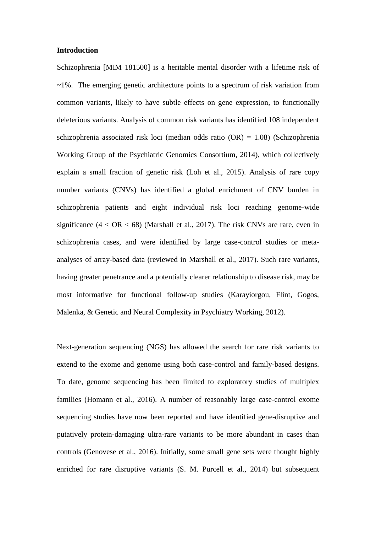#### **Introduction**

Schizophrenia [MIM 181500] is a heritable mental disorder with a lifetime risk of ~1%. The emerging genetic architecture points to a spectrum of risk variation from common variants, likely to have subtle effects on gene expression, to functionally deleterious variants. Analysis of common risk variants has identified 108 independent schizophrenia associated risk loci (median odds ratio (OR) = 1.08) (Schizophrenia Working Group of the Psychiatric Genomics Consortium, 2014), which collectively explain a small fraction of genetic risk (Loh et al., 2015). Analysis of rare copy number variants (CNVs) has identified a global enrichment of CNV burden in schizophrenia patients and eight individual risk loci reaching genome-wide significance  $(4 < OR < 68)$  (Marshall et al., 2017). The risk CNVs are rare, even in schizophrenia cases, and were identified by large case-control studies or metaanalyses of array-based data (reviewed in Marshall et al., 2017). Such rare variants, having greater penetrance and a potentially clearer relationship to disease risk, may be most informative for functional follow-up studies (Karayiorgou, Flint, Gogos, Malenka, & Genetic and Neural Complexity in Psychiatry Working, 2012).

Next-generation sequencing (NGS) has allowed the search for rare risk variants to extend to the exome and genome using both case-control and family-based designs. To date, genome sequencing has been limited to exploratory studies of multiplex families (Homann et al., 2016). A number of reasonably large case-control exome sequencing studies have now been reported and have identified gene-disruptive and putatively protein-damaging ultra-rare variants to be more abundant in cases than controls (Genovese et al., 2016). Initially, some small gene sets were thought highly enriched for rare disruptive variants (S. M. Purcell et al., 2014) but subsequent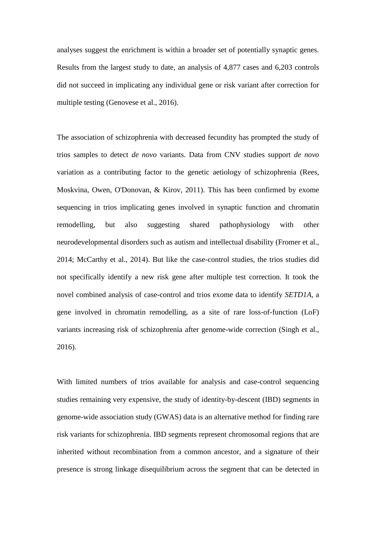analyses suggest the enrichment is within a broader set of potentially synaptic genes. Results from the largest study to date, an analysis of 4,877 cases and 6,203 controls did not succeed in implicating any individual gene or risk variant after correction for multiple testing (Genovese et al., 2016).

The association of schizophrenia with decreased fecundity has prompted the study of trios samples to detect *de novo* variants. Data from CNV studies support *de novo* variation as a contributing factor to the genetic aetiology of schizophrenia (Rees, Moskvina, Owen, O'Donovan, & Kirov, 2011). This has been confirmed by exome sequencing in trios implicating genes involved in synaptic function and chromatin remodelling, but also suggesting shared pathophysiology with other neurodevelopmental disorders such as autism and intellectual disability (Fromer et al., 2014; McCarthy et al., 2014). But like the case-control studies, the trios studies did not specifically identify a new risk gene after multiple test correction. It took the novel combined analysis of case-control and trios exome data to identify *SETD1A,* a gene involved in chromatin remodelling, as a site of rare loss-of-function (LoF) variants increasing risk of schizophrenia after genome-wide correction (Singh et al., 2016).

With limited numbers of trios available for analysis and case-control sequencing studies remaining very expensive, the study of identity-by-descent (IBD) segments in genome-wide association study (GWAS) data is an alternative method for finding rare risk variants for schizophrenia. IBD segments represent chromosomal regions that are inherited without recombination from a common ancestor, and a signature of their presence is strong linkage disequilibrium across the segment that can be detected in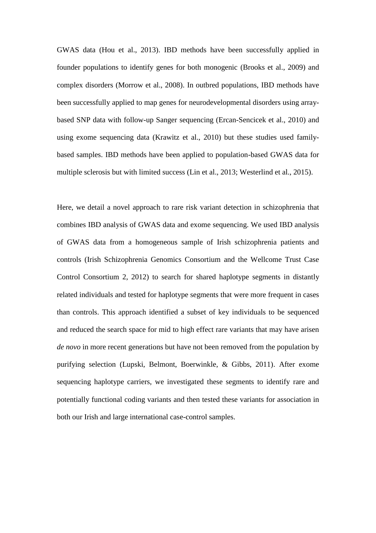GWAS data (Hou et al., 2013). IBD methods have been successfully applied in founder populations to identify genes for both monogenic (Brooks et al., 2009) and complex disorders (Morrow et al., 2008). In outbred populations, IBD methods have been successfully applied to map genes for neurodevelopmental disorders using arraybased SNP data with follow-up Sanger sequencing (Ercan-Sencicek et al., 2010) and using exome sequencing data (Krawitz et al., 2010) but these studies used familybased samples. IBD methods have been applied to population-based GWAS data for multiple sclerosis but with limited success (Lin et al., 2013; Westerlind et al., 2015).

Here, we detail a novel approach to rare risk variant detection in schizophrenia that combines IBD analysis of GWAS data and exome sequencing. We used IBD analysis of GWAS data from a homogeneous sample of Irish schizophrenia patients and controls (Irish Schizophrenia Genomics Consortium and the Wellcome Trust Case Control Consortium 2, 2012) to search for shared haplotype segments in distantly related individuals and tested for haplotype segments that were more frequent in cases than controls. This approach identified a subset of key individuals to be sequenced and reduced the search space for mid to high effect rare variants that may have arisen *de novo* in more recent generations but have not been removed from the population by purifying selection (Lupski, Belmont, Boerwinkle, & Gibbs, 2011). After exome sequencing haplotype carriers, we investigated these segments to identify rare and potentially functional coding variants and then tested these variants for association in both our Irish and large international case-control samples.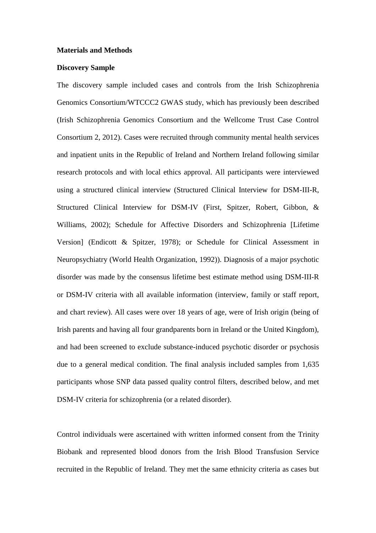#### **Materials and Methods**

#### **Discovery Sample**

The discovery sample included cases and controls from the Irish Schizophrenia Genomics Consortium/WTCCC2 GWAS study, which has previously been described (Irish Schizophrenia Genomics Consortium and the Wellcome Trust Case Control Consortium 2, 2012). Cases were recruited through community mental health services and inpatient units in the Republic of Ireland and Northern Ireland following similar research protocols and with local ethics approval. All participants were interviewed using a structured clinical interview (Structured Clinical Interview for DSM-III-R, Structured Clinical Interview for DSM-IV (First, Spitzer, Robert, Gibbon, & Williams, 2002); Schedule for Affective Disorders and Schizophrenia [Lifetime Version] (Endicott & Spitzer, 1978); or Schedule for Clinical Assessment in Neuropsychiatry (World Health Organization, 1992)). Diagnosis of a major psychotic disorder was made by the consensus lifetime best estimate method using DSM-III-R or DSM-IV criteria with all available information (interview, family or staff report, and chart review). All cases were over 18 years of age, were of Irish origin (being of Irish parents and having all four grandparents born in Ireland or the United Kingdom), and had been screened to exclude substance-induced psychotic disorder or psychosis due to a general medical condition. The final analysis included samples from 1,635 participants whose SNP data passed quality control filters, described below, and met DSM-IV criteria for schizophrenia (or a related disorder).

Control individuals were ascertained with written informed consent from the Trinity Biobank and represented blood donors from the Irish Blood Transfusion Service recruited in the Republic of Ireland. They met the same ethnicity criteria as cases but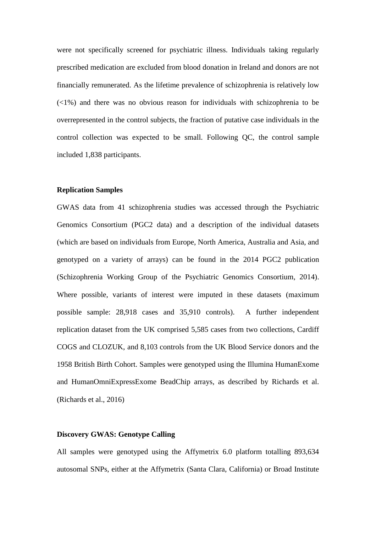were not specifically screened for psychiatric illness. Individuals taking regularly prescribed medication are excluded from blood donation in Ireland and donors are not financially remunerated. As the lifetime prevalence of schizophrenia is relatively low  $\left( \langle 1\% \rangle \right)$  and there was no obvious reason for individuals with schizophrenia to be overrepresented in the control subjects, the fraction of putative case individuals in the control collection was expected to be small. Following QC, the control sample included 1,838 participants.

### **Replication Samples**

GWAS data from 41 schizophrenia studies was accessed through the Psychiatric Genomics Consortium (PGC2 data) and a description of the individual datasets (which are based on individuals from Europe, North America, Australia and Asia, and genotyped on a variety of arrays) can be found in the 2014 PGC2 publication (Schizophrenia Working Group of the Psychiatric Genomics Consortium, 2014). Where possible, variants of interest were imputed in these datasets (maximum possible sample: 28,918 cases and 35,910 controls). A further independent replication dataset from the UK comprised 5,585 cases from two collections, Cardiff COGS and CLOZUK, and 8,103 controls from the UK Blood Service donors and the 1958 British Birth Cohort. Samples were genotyped using the Illumina HumanExome and HumanOmniExpressExome BeadChip arrays, as described by Richards et al. (Richards et al., 2016)

## **Discovery GWAS: Genotype Calling**

All samples were genotyped using the Affymetrix 6.0 platform totalling 893,634 autosomal SNPs, either at the Affymetrix (Santa Clara, California) or Broad Institute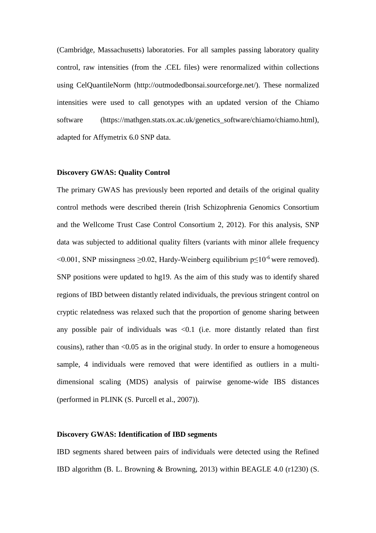(Cambridge, Massachusetts) laboratories. For all samples passing laboratory quality control, raw intensities (from the .CEL files) were renormalized within collections using CelQuantileNorm (http://outmodedbonsai.sourceforge.net/). These normalized intensities were used to call genotypes with an updated version of the Chiamo software (https://mathgen.stats.ox.ac.uk/genetics\_software/chiamo/chiamo.html), adapted for Affymetrix 6.0 SNP data.

#### **Discovery GWAS: Quality Control**

The primary GWAS has previously been reported and details of the original quality control methods were described therein (Irish Schizophrenia Genomics Consortium and the Wellcome Trust Case Control Consortium 2, 2012). For this analysis, SNP data was subjected to additional quality filters (variants with minor allele frequency <0.001, SNP missingness ≥0.02, Hardy-Weinberg equilibrium p≤10-6 were removed). SNP positions were updated to hg19. As the aim of this study was to identify shared regions of IBD between distantly related individuals, the previous stringent control on cryptic relatedness was relaxed such that the proportion of genome sharing between any possible pair of individuals was <0.1 (i.e. more distantly related than first cousins), rather than <0.05 as in the original study. In order to ensure a homogeneous sample, 4 individuals were removed that were identified as outliers in a multidimensional scaling (MDS) analysis of pairwise genome-wide IBS distances (performed in PLINK (S. Purcell et al., 2007)).

## **Discovery GWAS: Identification of IBD segments**

IBD segments shared between pairs of individuals were detected using the Refined IBD algorithm (B. L. Browning & Browning, 2013) within BEAGLE 4.0 (r1230) (S.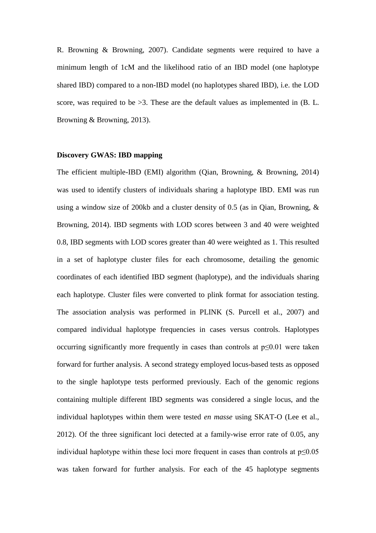R. Browning & Browning, 2007). Candidate segments were required to have a minimum length of 1cM and the likelihood ratio of an IBD model (one haplotype shared IBD) compared to a non-IBD model (no haplotypes shared IBD), i.e. the LOD score, was required to be >3. These are the default values as implemented in (B. L. Browning & Browning, 2013).

### **Discovery GWAS: IBD mapping**

The efficient multiple-IBD (EMI) algorithm (Qian, Browning, & Browning, 2014) was used to identify clusters of individuals sharing a haplotype IBD. EMI was run using a window size of 200kb and a cluster density of 0.5 (as in Qian, Browning, & Browning, 2014). IBD segments with LOD scores between 3 and 40 were weighted 0.8, IBD segments with LOD scores greater than 40 were weighted as 1. This resulted in a set of haplotype cluster files for each chromosome, detailing the genomic coordinates of each identified IBD segment (haplotype), and the individuals sharing each haplotype. Cluster files were converted to plink format for association testing. The association analysis was performed in PLINK (S. Purcell et al., 2007) and compared individual haplotype frequencies in cases versus controls. Haplotypes occurring significantly more frequently in cases than controls at p≤0.01 were taken forward for further analysis. A second strategy employed locus-based tests as opposed to the single haplotype tests performed previously. Each of the genomic regions containing multiple different IBD segments was considered a single locus, and the individual haplotypes within them were tested *en masse* using SKAT-O (Lee et al., 2012). Of the three significant loci detected at a family-wise error rate of 0.05, any individual haplotype within these loci more frequent in cases than controls at  $p \leq 0.05$ was taken forward for further analysis. For each of the 45 haplotype segments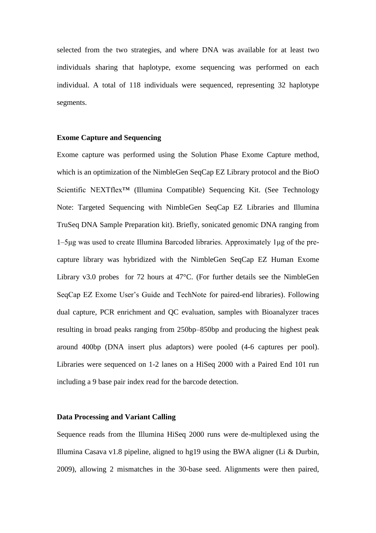selected from the two strategies, and where DNA was available for at least two individuals sharing that haplotype, exome sequencing was performed on each individual. A total of 118 individuals were sequenced, representing 32 haplotype segments.

## **Exome Capture and Sequencing**

Exome capture was performed using the Solution Phase Exome Capture method, which is an optimization of the NimbleGen SeqCap EZ Library protocol and the BioO Scientific NEXTflex<sup>™</sup> (Illumina Compatible) Sequencing Kit. (See Technology Note: Targeted Sequencing with NimbleGen SeqCap EZ Libraries and Illumina TruSeq DNA Sample Preparation kit). Briefly, sonicated genomic DNA ranging from 1–5μg was used to create Illumina Barcoded libraries. Approximately 1μg of the precapture library was hybridized with the NimbleGen SeqCap EZ Human Exome Library v3.0 probes for 72 hours at 47°C. (For further details see the NimbleGen SeqCap EZ Exome User's Guide and TechNote for paired-end libraries). Following dual capture, PCR enrichment and QC evaluation, samples with Bioanalyzer traces resulting in broad peaks ranging from 250bp–850bp and producing the highest peak around 400bp (DNA insert plus adaptors) were pooled (4-6 captures per pool). Libraries were sequenced on 1-2 lanes on a HiSeq 2000 with a Paired End 101 run including a 9 base pair index read for the barcode detection.

### **Data Processing and Variant Calling**

Sequence reads from the Illumina HiSeq 2000 runs were de-multiplexed using the Illumina Casava v1.8 pipeline, aligned to hg19 using the BWA aligner (Li & Durbin, 2009), allowing 2 mismatches in the 30-base seed. Alignments were then paired,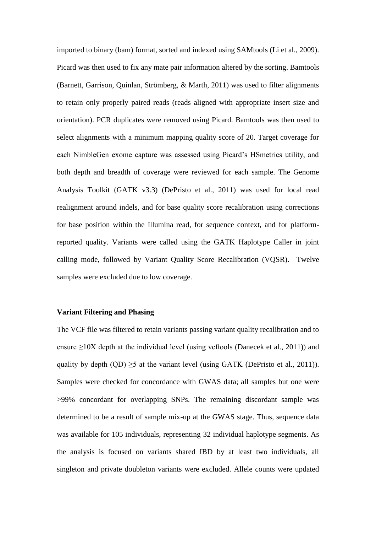imported to binary (bam) format, sorted and indexed using SAMtools (Li et al., 2009). Picard was then used to fix any mate pair information altered by the sorting. Bamtools (Barnett, Garrison, Quinlan, Strömberg, & Marth, 2011) was used to filter alignments to retain only properly paired reads (reads aligned with appropriate insert size and orientation). PCR duplicates were removed using Picard. Bamtools was then used to select alignments with a minimum mapping quality score of 20. Target coverage for each NimbleGen exome capture was assessed using Picard's HSmetrics utility, and both depth and breadth of coverage were reviewed for each sample. The Genome Analysis Toolkit (GATK v3.3) (DePristo et al., 2011) was used for local read realignment around indels, and for base quality score recalibration using corrections for base position within the Illumina read, for sequence context, and for platformreported quality. Variants were called using the GATK Haplotype Caller in joint calling mode, followed by Variant Quality Score Recalibration (VQSR). Twelve samples were excluded due to low coverage.

### **Variant Filtering and Phasing**

The VCF file was filtered to retain variants passing variant quality recalibration and to ensure  $\geq$ 10X depth at the individual level (using vcftools (Danecek et al., 2011)) and quality by depth  $(QD) \ge 5$  at the variant level (using GATK (DePristo et al., 2011)). Samples were checked for concordance with GWAS data; all samples but one were >99% concordant for overlapping SNPs. The remaining discordant sample was determined to be a result of sample mix-up at the GWAS stage. Thus, sequence data was available for 105 individuals, representing 32 individual haplotype segments. As the analysis is focused on variants shared IBD by at least two individuals, all singleton and private doubleton variants were excluded. Allele counts were updated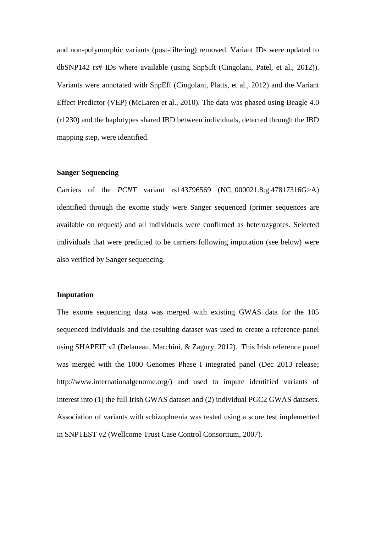and non-polymorphic variants (post-filtering) removed. Variant IDs were updated to dbSNP142 rs# IDs where available (using SnpSift (Cingolani, Patel, et al., 2012)). Variants were annotated with SnpEff (Cingolani, Platts, et al., 2012) and the Variant Effect Predictor (VEP) (McLaren et al., 2010). The data was phased using Beagle 4.0 (r1230) and the haplotypes shared IBD between individuals, detected through the IBD mapping step, were identified.

### **Sanger Sequencing**

Carriers of the *PCNT* variant rs143796569 (NC\_000021.8:g.47817316G>A) identified through the exome study were Sanger sequenced (primer sequences are available on request) and all individuals were confirmed as heterozygotes. Selected individuals that were predicted to be carriers following imputation (see below) were also verified by Sanger sequencing.

#### **Imputation**

The exome sequencing data was merged with existing GWAS data for the 105 sequenced individuals and the resulting dataset was used to create a reference panel using SHAPEIT v2 (Delaneau, Marchini, & Zagury, 2012). This Irish reference panel was merged with the 1000 Genomes Phase I integrated panel (Dec 2013 release; http://www.internationalgenome.org/) and used to impute identified variants of interest into (1) the full Irish GWAS dataset and (2) individual PGC2 GWAS datasets. Association of variants with schizophrenia was tested using a score test implemented in SNPTEST v2 (Wellcome Trust Case Control Consortium, 2007).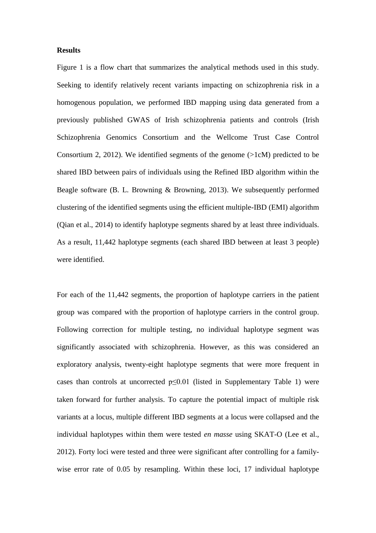#### **Results**

Figure 1 is a flow chart that summarizes the analytical methods used in this study. Seeking to identify relatively recent variants impacting on schizophrenia risk in a homogenous population, we performed IBD mapping using data generated from a previously published GWAS of Irish schizophrenia patients and controls (Irish Schizophrenia Genomics Consortium and the Wellcome Trust Case Control Consortium 2, 2012). We identified segments of the genome (>1cM) predicted to be shared IBD between pairs of individuals using the Refined IBD algorithm within the Beagle software (B. L. Browning & Browning, 2013). We subsequently performed clustering of the identified segments using the efficient multiple-IBD (EMI) algorithm (Qian et al., 2014) to identify haplotype segments shared by at least three individuals. As a result, 11,442 haplotype segments (each shared IBD between at least 3 people) were identified.

For each of the 11,442 segments, the proportion of haplotype carriers in the patient group was compared with the proportion of haplotype carriers in the control group. Following correction for multiple testing, no individual haplotype segment was significantly associated with schizophrenia. However, as this was considered an exploratory analysis, twenty-eight haplotype segments that were more frequent in cases than controls at uncorrected  $p \leq 0.01$  (listed in Supplementary Table 1) were taken forward for further analysis. To capture the potential impact of multiple risk variants at a locus, multiple different IBD segments at a locus were collapsed and the individual haplotypes within them were tested *en masse* using SKAT-O (Lee et al., 2012). Forty loci were tested and three were significant after controlling for a familywise error rate of 0.05 by resampling. Within these loci, 17 individual haplotype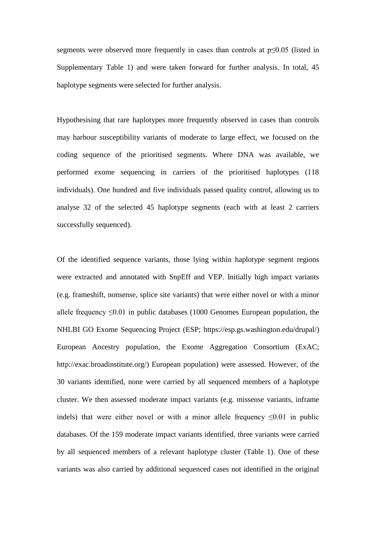segments were observed more frequently in cases than controls at p≤0.05 (listed in Supplementary Table 1) and were taken forward for further analysis. In total, 45 haplotype segments were selected for further analysis.

Hypothesising that rare haplotypes more frequently observed in cases than controls may harbour susceptibility variants of moderate to large effect, we focused on the coding sequence of the prioritised segments. Where DNA was available, we performed exome sequencing in carriers of the prioritised haplotypes (118 individuals). One hundred and five individuals passed quality control, allowing us to analyse 32 of the selected 45 haplotype segments (each with at least 2 carriers successfully sequenced).

Of the identified sequence variants, those lying within haplotype segment regions were extracted and annotated with SnpEff and VEP. Initially high impact variants (e.g. frameshift, nonsense, splice site variants) that were either novel or with a minor allele frequency  $\leq 0.01$  in public databases (1000 Genomes European population, the NHLBI GO Exome Sequencing Project (ESP; https://esp.gs.washington.edu/drupal/) European Ancestry population, the Exome Aggregation Consortium (ExAC; http://exac.broadinstitute.org/) European population) were assessed. However, of the 30 variants identified, none were carried by all sequenced members of a haplotype cluster. We then assessed moderate impact variants (e.g. missense variants, inframe indels) that were either novel or with a minor allele frequency  $\leq 0.01$  in public databases. Of the 159 moderate impact variants identified, three variants were carried by all sequenced members of a relevant haplotype cluster (Table 1). One of these variants was also carried by additional sequenced cases not identified in the original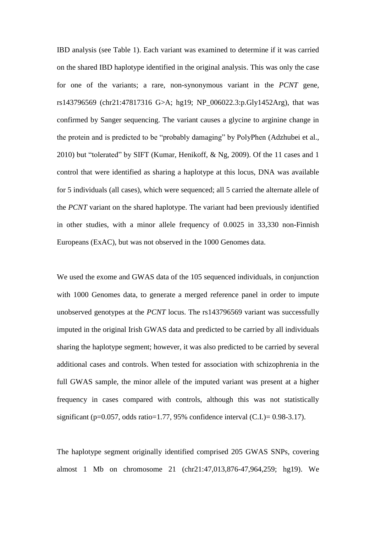IBD analysis (see Table 1). Each variant was examined to determine if it was carried on the shared IBD haplotype identified in the original analysis. This was only the case for one of the variants; a rare, non-synonymous variant in the *PCNT* gene, rs143796569 (chr21:47817316 G>A; hg19; NP\_006022.3:p.Gly1452Arg), that was confirmed by Sanger sequencing. The variant causes a glycine to arginine change in the protein and is predicted to be "probably damaging" by PolyPhen (Adzhubei et al., 2010) but "tolerated" by SIFT (Kumar, Henikoff, & Ng, 2009). Of the 11 cases and 1 control that were identified as sharing a haplotype at this locus, DNA was available for 5 individuals (all cases), which were sequenced; all 5 carried the alternate allele of the *PCNT* variant on the shared haplotype. The variant had been previously identified in other studies, with a minor allele frequency of 0.0025 in 33,330 non-Finnish Europeans (ExAC), but was not observed in the 1000 Genomes data.

We used the exome and GWAS data of the 105 sequenced individuals, in conjunction with 1000 Genomes data, to generate a merged reference panel in order to impute unobserved genotypes at the *PCNT* locus. The rs143796569 variant was successfully imputed in the original Irish GWAS data and predicted to be carried by all individuals sharing the haplotype segment; however, it was also predicted to be carried by several additional cases and controls. When tested for association with schizophrenia in the full GWAS sample, the minor allele of the imputed variant was present at a higher frequency in cases compared with controls, although this was not statistically significant (p=0.057, odds ratio=1.77, 95% confidence interval  $(C.I.) = 0.98-3.17$ ).

The haplotype segment originally identified comprised 205 GWAS SNPs, covering almost 1 Mb on chromosome 21 (chr21:47,013,876-47,964,259; hg19). We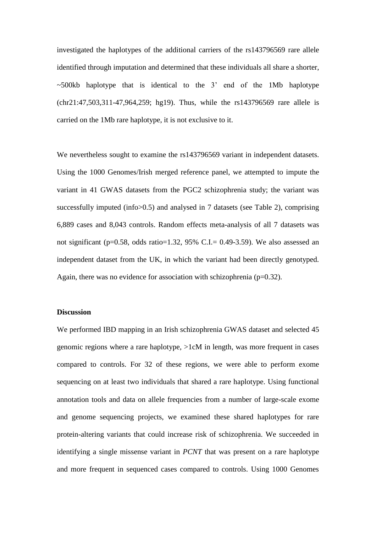investigated the haplotypes of the additional carriers of the rs143796569 rare allele identified through imputation and determined that these individuals all share a shorter, ~500kb haplotype that is identical to the 3' end of the 1Mb haplotype (chr21:47,503,311-47,964,259; hg19). Thus, while the rs143796569 rare allele is carried on the 1Mb rare haplotype, it is not exclusive to it.

We nevertheless sought to examine the rs143796569 variant in independent datasets. Using the 1000 Genomes/Irish merged reference panel, we attempted to impute the variant in 41 GWAS datasets from the PGC2 schizophrenia study; the variant was successfully imputed (info $> 0.5$ ) and analysed in 7 datasets (see Table 2), comprising 6,889 cases and 8,043 controls. Random effects meta-analysis of all 7 datasets was not significant (p=0.58, odds ratio=1.32, 95% C.I.= 0.49-3.59). We also assessed an independent dataset from the UK, in which the variant had been directly genotyped. Again, there was no evidence for association with schizophrenia ( $p=0.32$ ).

#### **Discussion**

We performed IBD mapping in an Irish schizophrenia GWAS dataset and selected 45 genomic regions where a rare haplotype, >1cM in length, was more frequent in cases compared to controls. For 32 of these regions, we were able to perform exome sequencing on at least two individuals that shared a rare haplotype. Using functional annotation tools and data on allele frequencies from a number of large-scale exome and genome sequencing projects, we examined these shared haplotypes for rare protein-altering variants that could increase risk of schizophrenia. We succeeded in identifying a single missense variant in *PCNT* that was present on a rare haplotype and more frequent in sequenced cases compared to controls. Using 1000 Genomes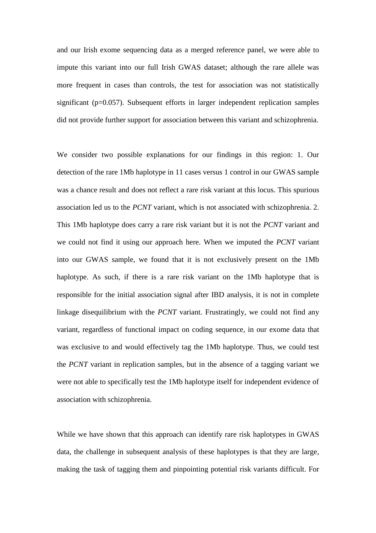and our Irish exome sequencing data as a merged reference panel, we were able to impute this variant into our full Irish GWAS dataset; although the rare allele was more frequent in cases than controls, the test for association was not statistically significant (p=0.057). Subsequent efforts in larger independent replication samples did not provide further support for association between this variant and schizophrenia.

We consider two possible explanations for our findings in this region: 1. Our detection of the rare 1Mb haplotype in 11 cases versus 1 control in our GWAS sample was a chance result and does not reflect a rare risk variant at this locus. This spurious association led us to the *PCNT* variant, which is not associated with schizophrenia. 2. This 1Mb haplotype does carry a rare risk variant but it is not the *PCNT* variant and we could not find it using our approach here. When we imputed the *PCNT* variant into our GWAS sample, we found that it is not exclusively present on the 1Mb haplotype. As such, if there is a rare risk variant on the 1Mb haplotype that is responsible for the initial association signal after IBD analysis, it is not in complete linkage disequilibrium with the *PCNT* variant. Frustratingly, we could not find any variant, regardless of functional impact on coding sequence, in our exome data that was exclusive to and would effectively tag the 1Mb haplotype. Thus, we could test the *PCNT* variant in replication samples, but in the absence of a tagging variant we were not able to specifically test the 1Mb haplotype itself for independent evidence of association with schizophrenia.

While we have shown that this approach can identify rare risk haplotypes in GWAS data, the challenge in subsequent analysis of these haplotypes is that they are large, making the task of tagging them and pinpointing potential risk variants difficult. For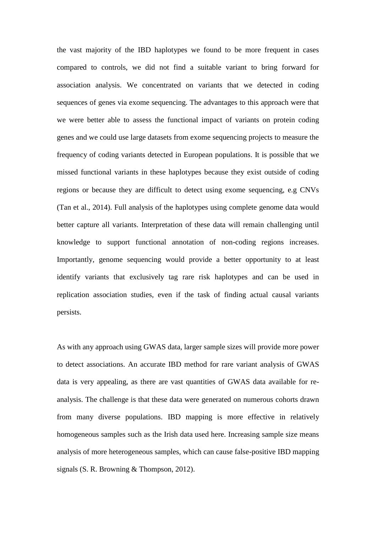the vast majority of the IBD haplotypes we found to be more frequent in cases compared to controls, we did not find a suitable variant to bring forward for association analysis. We concentrated on variants that we detected in coding sequences of genes via exome sequencing. The advantages to this approach were that we were better able to assess the functional impact of variants on protein coding genes and we could use large datasets from exome sequencing projects to measure the frequency of coding variants detected in European populations. It is possible that we missed functional variants in these haplotypes because they exist outside of coding regions or because they are difficult to detect using exome sequencing, e.g CNVs (Tan et al., 2014). Full analysis of the haplotypes using complete genome data would better capture all variants. Interpretation of these data will remain challenging until knowledge to support functional annotation of non-coding regions increases. Importantly, genome sequencing would provide a better opportunity to at least identify variants that exclusively tag rare risk haplotypes and can be used in replication association studies, even if the task of finding actual causal variants persists.

As with any approach using GWAS data, larger sample sizes will provide more power to detect associations. An accurate IBD method for rare variant analysis of GWAS data is very appealing, as there are vast quantities of GWAS data available for reanalysis. The challenge is that these data were generated on numerous cohorts drawn from many diverse populations. IBD mapping is more effective in relatively homogeneous samples such as the Irish data used here. Increasing sample size means analysis of more heterogeneous samples, which can cause false-positive IBD mapping signals (S. R. Browning & Thompson, 2012).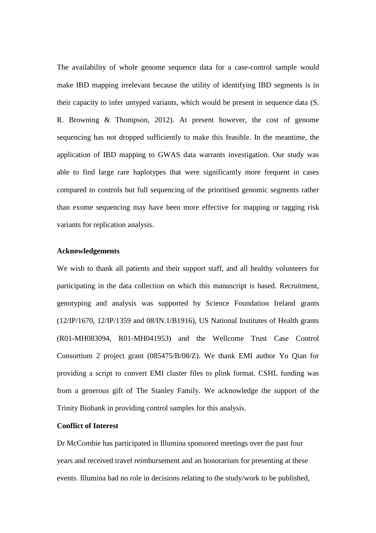The availability of whole genome sequence data for a case-control sample would make IBD mapping irrelevant because the utility of identifying IBD segments is in their capacity to infer untyped variants, which would be present in sequence data (S. R. Browning & Thompson, 2012). At present however, the cost of genome sequencing has not dropped sufficiently to make this feasible. In the meantime, the application of IBD mapping to GWAS data warrants investigation. Our study was able to find large rare haplotypes that were significantly more frequent in cases compared to controls but full sequencing of the prioritised genomic segments rather than exome sequencing may have been more effective for mapping or tagging risk variants for replication analysis.

### **Acknowledgements**

We wish to thank all patients and their support staff, and all healthy volunteers for participating in the data collection on which this manuscript is based. Recruitment, genotyping and analysis was supported by Science Foundation Ireland grants (12/IP/1670, 12/IP/1359 and 08/IN.1/B1916), US National Institutes of Health grants (R01-MH083094, R01-MH041953) and the Wellcome Trust Case Control Consortium 2 project grant (085475/B/08/Z). We thank EMI author Yu Qian for providing a script to convert EMI cluster files to plink format. CSHL funding was from a generous gift of The Stanley Family. We acknowledge the support of the Trinity Biobank in providing control samples for this analysis.

## **Conflict of Interest**

Dr McCombie has participated in Illumina sponsored meetings over the past four years and received travel reimbursement and an honorarium for presenting at these events. Illumina had no role in decisions relating to the study/work to be published,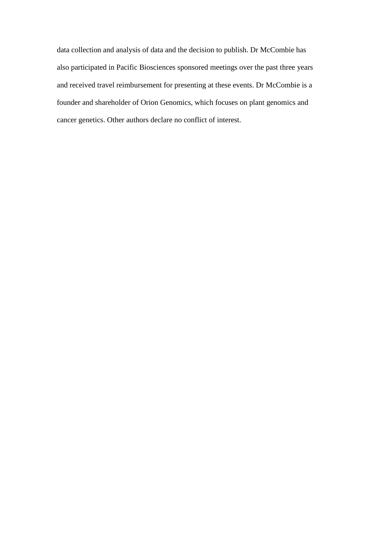data collection and analysis of data and the decision to publish. Dr McCombie has also participated in Pacific Biosciences sponsored meetings over the past three years and received travel reimbursement for presenting at these events. Dr McCombie is a founder and shareholder of Orion Genomics, which focuses on plant genomics and cancer genetics. Other authors declare no conflict of interest.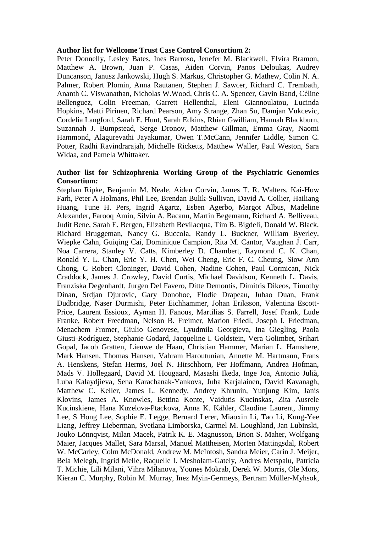### **Author list for Wellcome Trust Case Control Consortium 2:**

Peter Donnelly, Lesley Bates, Ines Barroso, Jenefer M. Blackwell, Elvira Bramon, Matthew A. Brown, Juan P. Casas, Aiden Corvin, Panos Deloukas, Audrey Duncanson, Janusz Jankowski, Hugh S. Markus, Christopher G. Mathew, Colin N. A. Palmer, Robert Plomin, Anna Rautanen, Stephen J. Sawcer, Richard C. Trembath, Ananth C. Viswanathan, Nicholas W.Wood, Chris C. A. Spencer, Gavin Band, Céline Bellenguez, Colin Freeman, Garrett Hellenthal, Eleni Giannoulatou, Lucinda Hopkins, Matti Pirinen, Richard Pearson, Amy Strange, Zhan Su, Damjan Vukcevic, Cordelia Langford, Sarah E. Hunt, Sarah Edkins, Rhian Gwilliam, Hannah Blackburn, Suzannah J. Bumpstead, Serge Dronov, Matthew Gillman, Emma Gray, Naomi Hammond, Alagurevathi Jayakumar, Owen T.McCann, Jennifer Liddle, Simon C. Potter, Radhi Ravindrarajah, Michelle Ricketts, Matthew Waller, Paul Weston, Sara Widaa, and Pamela Whittaker.

## **Author list for Schizophrenia Working Group of the Psychiatric Genomics Consortium:**

Stephan Ripke, Benjamin M. Neale, Aiden Corvin, James T. R. Walters, Kai-How Farh, Peter A Holmans, Phil Lee, Brendan Bulik-Sullivan, David A. Collier, Hailiang Huang, Tune H. Pers, Ingrid Agartz, Esben Agerbo, Margot Albus, Madeline Alexander, Farooq Amin, Silviu A. Bacanu, Martin Begemann, Richard A. Belliveau, Judit Bene, Sarah E. Bergen, Elizabeth Bevilacqua, Tim B. Bigdeli, Donald W. Black, Richard Bruggeman, Nancy G. Buccola, Randy L. Buckner, William Byerley, Wiepke Cahn, Guiqing Cai, Dominique Campion, Rita M. Cantor, Vaughan J. Carr, Noa Carrera, Stanley V. Catts, Kimberley D. Chambert, Raymond C. K. Chan, Ronald Y. L. Chan, Eric Y. H. Chen, Wei Cheng, Eric F. C. Cheung, Siow Ann Chong, C Robert Cloninger, David Cohen, Nadine Cohen, Paul Cormican, Nick Craddock, James J. Crowley, David Curtis, Michael Davidson, Kenneth L. Davis, Franziska Degenhardt, Jurgen Del Favero, Ditte Demontis, Dimitris Dikeos, Timothy Dinan, Srdjan Djurovic, Gary Donohoe, Elodie Drapeau, Jubao Duan, Frank Dudbridge, Naser Durmishi, Peter Eichhammer, Johan Eriksson, Valentina Escott-Price, Laurent Essioux, Ayman H. Fanous, Martilias S. Farrell, Josef Frank, Lude Franke, Robert Freedman, Nelson B. Freimer, Marion Friedl, Joseph I. Friedman, Menachem Fromer, Giulio Genovese, Lyudmila Georgieva, Ina Giegling, Paola Giusti-Rodríguez, Stephanie Godard, Jacqueline I. Goldstein, Vera Golimbet, Srihari Gopal, Jacob Gratten, Lieuwe de Haan, Christian Hammer, Marian L. Hamshere, Mark Hansen, Thomas Hansen, Vahram Haroutunian, Annette M. Hartmann, Frans A. Henskens, Stefan Herms, Joel N. Hirschhorn, Per Hoffmann, Andrea Hofman, Mads V. Hollegaard, David M. Hougaard, Masashi Ikeda, Inge Joa, Antonio Julià, Luba Kalaydjieva, Sena Karachanak-Yankova, Juha Karjalainen, David Kavanagh, Matthew C. Keller, James L. Kennedy, Andrey Khrunin, Yunjung Kim, Janis Klovins, James A. Knowles, Bettina Konte, Vaidutis Kucinskas, Zita Ausrele Kucinskiene, Hana Kuzelova-Ptackova, Anna K. Kähler, Claudine Laurent, Jimmy Lee, S Hong Lee, Sophie E. Legge, Bernard Lerer, Miaoxin Li, Tao Li, Kung-Yee Liang, Jeffrey Lieberman, Svetlana Limborska, Carmel M. Loughland, Jan Lubinski, Jouko Lönnqvist, Milan Macek, Patrik K. E. Magnusson, Brion S. Maher, Wolfgang Maier, Jacques Mallet, Sara Marsal, Manuel Mattheisen, Morten Mattingsdal, Robert W. McCarley, Colm McDonald, Andrew M. McIntosh, Sandra Meier, Carin J. Meijer, Bela Melegh, Ingrid Melle, Raquelle I. Mesholam-Gately, Andres Metspalu, Patricia T. Michie, Lili Milani, Vihra Milanova, Younes Mokrab, Derek W. Morris, Ole Mors, Kieran C. Murphy, Robin M. Murray, Inez Myin-Germeys, Bertram Müller-Myhsok,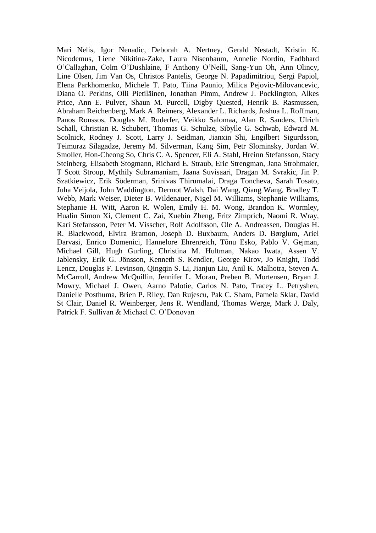Mari Nelis, Igor Nenadic, Deborah A. Nertney, Gerald Nestadt, Kristin K. Nicodemus, Liene Nikitina-Zake, Laura Nisenbaum, Annelie Nordin, Eadbhard O'Callaghan, Colm O'Dushlaine, F Anthony O'Neill, Sang-Yun Oh, Ann Olincy, Line Olsen, Jim Van Os, Christos Pantelis, George N. Papadimitriou, Sergi Papiol, Elena Parkhomenko, Michele T. Pato, Tiina Paunio, Milica Pejovic-Milovancevic, Diana O. Perkins, Olli Pietiläinen, Jonathan Pimm, Andrew J. Pocklington, Alkes Price, Ann E. Pulver, Shaun M. Purcell, Digby Quested, Henrik B. Rasmussen, Abraham Reichenberg, Mark A. Reimers, Alexander L. Richards, Joshua L. Roffman, Panos Roussos, Douglas M. Ruderfer, Veikko Salomaa, Alan R. Sanders, Ulrich Schall, Christian R. Schubert, Thomas G. Schulze, Sibylle G. Schwab, Edward M. Scolnick, Rodney J. Scott, Larry J. Seidman, Jianxin Shi, Engilbert Sigurdsson, Teimuraz Silagadze, Jeremy M. Silverman, Kang Sim, Petr Slominsky, Jordan W. Smoller, Hon-Cheong So, Chris C. A. Spencer, Eli A. Stahl, Hreinn Stefansson, Stacy Steinberg, Elisabeth Stogmann, Richard E. Straub, Eric Strengman, Jana Strohmaier, T Scott Stroup, Mythily Subramaniam, Jaana Suvisaari, Dragan M. Svrakic, Jin P. Szatkiewicz, Erik Söderman, Srinivas Thirumalai, Draga Toncheva, Sarah Tosato, Juha Veijola, John Waddington, Dermot Walsh, Dai Wang, Qiang Wang, Bradley T. Webb, Mark Weiser, Dieter B. Wildenauer, Nigel M. Williams, Stephanie Williams, Stephanie H. Witt, Aaron R. Wolen, Emily H. M. Wong, Brandon K. Wormley, Hualin Simon Xi, Clement C. Zai, Xuebin Zheng, Fritz Zimprich, Naomi R. Wray, Kari Stefansson, Peter M. Visscher, Rolf Adolfsson, Ole A. Andreassen, Douglas H. R. Blackwood, Elvira Bramon, Joseph D. Buxbaum, Anders D. Børglum, Ariel Darvasi, Enrico Domenici, Hannelore Ehrenreich, Tõnu Esko, Pablo V. Gejman, Michael Gill, Hugh Gurling, Christina M. Hultman, Nakao Iwata, Assen V. Jablensky, Erik G. Jönsson, Kenneth S. Kendler, George Kirov, Jo Knight, Todd Lencz, Douglas F. Levinson, Qingqin S. Li, Jianjun Liu, Anil K. Malhotra, Steven A. McCarroll, Andrew McQuillin, Jennifer L. Moran, Preben B. Mortensen, Bryan J. Mowry, Michael J. Owen, Aarno Palotie, Carlos N. Pato, Tracey L. Petryshen, Danielle Posthuma, Brien P. Riley, Dan Rujescu, Pak C. Sham, Pamela Sklar, David St Clair, Daniel R. Weinberger, Jens R. Wendland, Thomas Werge, Mark J. Daly, Patrick F. Sullivan & Michael C. O'Donovan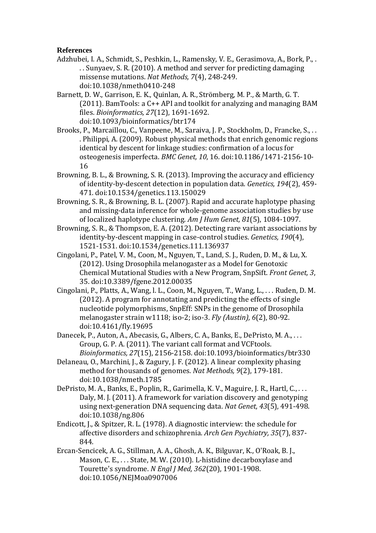# **References**

- Adzhubei, I. A., Schmidt, S., Peshkin, L., Ramensky, V. E., Gerasimova, A., Bork, P., . . . Sunyaev, S. R. (2010). A method and server for predicting damaging missense mutations. *Nat Methods, 7*(4), 248-249. doi:10.1038/nmeth0410-248
- Barnett, D. W., Garrison, E. K., Quinlan, A. R., Strömberg, M. P., & Marth, G. T. (2011). BamTools: a C++ API and toolkit for analyzing and managing BAM files. *Bioinformatics, 27*(12), 1691-1692. doi:10.1093/bioinformatics/btr174
- Brooks, P., Marcaillou, C., Vanpeene, M., Saraiva, J. P., Stockholm, D., Francke, S., . . . Philippi, A. (2009). Robust physical methods that enrich genomic regions identical by descent for linkage studies: confirmation of a locus for osteogenesis imperfecta. *BMC Genet, 10*, 16. doi:10.1186/1471-2156-10- 16
- Browning, B. L., & Browning, S. R. (2013). Improving the accuracy and efficiency of identity-by-descent detection in population data. *Genetics, 194*(2), 459- 471. doi:10.1534/genetics.113.150029
- Browning, S. R., & Browning, B. L. (2007). Rapid and accurate haplotype phasing and missing-data inference for whole-genome association studies by use of localized haplotype clustering. *Am J Hum Genet, 81*(5), 1084-1097.
- Browning, S. R., & Thompson, E. A. (2012). Detecting rare variant associations by identity-by-descent mapping in case-control studies. *Genetics, 190*(4), 1521-1531. doi:10.1534/genetics.111.136937
- Cingolani, P., Patel, V. M., Coon, M., Nguyen, T., Land, S. J., Ruden, D. M., & Lu, X. (2012). Using Drosophila melanogaster as a Model for Genotoxic Chemical Mutational Studies with a New Program, SnpSift. *Front Genet, 3*, 35. doi:10.3389/fgene.2012.00035
- Cingolani, P., Platts, A., Wang, l. L., Coon, M., Nguyen, T., Wang, L., . . . Ruden, D. M. (2012). A program for annotating and predicting the effects of single nucleotide polymorphisms, SnpEff: SNPs in the genome of Drosophila melanogaster strain w1118; iso-2; iso-3. *Fly (Austin), 6*(2), 80-92. doi:10.4161/fly.19695
- Danecek, P., Auton, A., Abecasis, G., Albers, C. A., Banks, E., DePristo, M. A., ... Group, G. P. A. (2011). The variant call format and VCFtools. *Bioinformatics, 27*(15), 2156-2158. doi:10.1093/bioinformatics/btr330
- Delaneau, O., Marchini, J., & Zagury, J. F. (2012). A linear complexity phasing method for thousands of genomes. *Nat Methods, 9*(2), 179-181. doi:10.1038/nmeth.1785
- DePristo, M. A., Banks, E., Poplin, R., Garimella, K. V., Maguire, J. R., Hartl, C., . . . Daly, M. J. (2011). A framework for variation discovery and genotyping using next-generation DNA sequencing data. *Nat Genet, 43*(5), 491-498. doi:10.1038/ng.806
- Endicott, J., & Spitzer, R. L. (1978). A diagnostic interview: the schedule for affective disorders and schizophrenia. *Arch Gen Psychiatry, 35*(7), 837- 844.
- Ercan-Sencicek, A. G., Stillman, A. A., Ghosh, A. K., Bilguvar, K., O'Roak, B. J., Mason, C. E., . . . State, M. W. (2010). L-histidine decarboxylase and Tourette's syndrome. *N Engl J Med, 362*(20), 1901-1908. doi:10.1056/NEJMoa0907006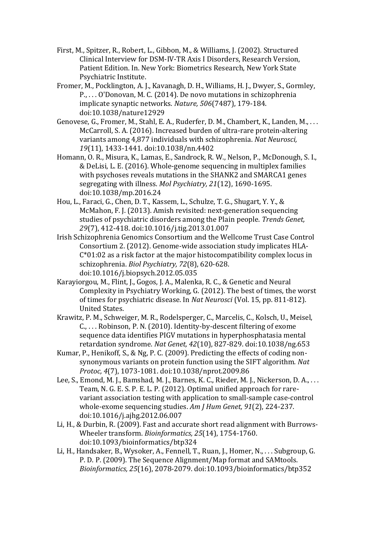- First, M., Spitzer, R., Robert, L., Gibbon, M., & Williams, J. (2002). Structured Clinical Interview for DSM-IV-TR Axis I Disorders, Research Version, Patient Edition. In. New York: Biometrics Research, New York State Psychiatric Institute.
- Fromer, M., Pocklington, A. J., Kavanagh, D. H., Williams, H. J., Dwyer, S., Gormley, P., . . . O'Donovan, M. C. (2014). De novo mutations in schizophrenia implicate synaptic networks. *Nature, 506*(7487), 179-184. doi:10.1038/nature12929
- Genovese, G., Fromer, M., Stahl, E. A., Ruderfer, D. M., Chambert, K., Landen, M., . . . McCarroll, S. A. (2016). Increased burden of ultra-rare protein-altering variants among 4,877 individuals with schizophrenia. *Nat Neurosci, 19*(11), 1433-1441. doi:10.1038/nn.4402
- Homann, O. R., Misura, K., Lamas, E., Sandrock, R. W., Nelson, P., McDonough, S. I., & DeLisi, L. E. (2016). Whole-genome sequencing in multiplex families with psychoses reveals mutations in the SHANK2 and SMARCA1 genes segregating with illness. *Mol Psychiatry, 21*(12), 1690-1695. doi:10.1038/mp.2016.24
- Hou, L., Faraci, G., Chen, D. T., Kassem, L., Schulze, T. G., Shugart, Y. Y., & McMahon, F. J. (2013). Amish revisited: next-generation sequencing studies of psychiatric disorders among the Plain people. *Trends Genet, 29*(7), 412-418. doi:10.1016/j.tig.2013.01.007
- Irish Schizophrenia Genomics Consortium and the Wellcome Trust Case Control Consortium 2. (2012). Genome-wide association study implicates HLA-C\*01:02 as a risk factor at the major histocompatibility complex locus in schizophrenia. *Biol Psychiatry, 72*(8), 620-628. doi:10.1016/j.biopsych.2012.05.035
- Karayiorgou, M., Flint, J., Gogos, J. A., Malenka, R. C., & Genetic and Neural Complexity in Psychiatry Working, G. (2012). The best of times, the worst of times for psychiatric disease. In *Nat Neurosci* (Vol. 15, pp. 811-812). United States.
- Krawitz, P. M., Schweiger, M. R., Rodelsperger, C., Marcelis, C., Kolsch, U., Meisel, C., . . . Robinson, P. N. (2010). Identity-by-descent filtering of exome sequence data identifies PIGV mutations in hyperphosphatasia mental retardation syndrome. *Nat Genet, 42*(10), 827-829. doi:10.1038/ng.653
- Kumar, P., Henikoff, S., & Ng, P. C. (2009). Predicting the effects of coding nonsynonymous variants on protein function using the SIFT algorithm. *Nat Protoc, 4*(7), 1073-1081. doi:10.1038/nprot.2009.86
- Lee, S., Emond, M. J., Bamshad, M. J., Barnes, K. C., Rieder, M. J., Nickerson, D. A., . . . Team, N. G. E. S. P. E. L. P. (2012). Optimal unified approach for rarevariant association testing with application to small-sample case-control whole-exome sequencing studies. *Am J Hum Genet, 91*(2), 224-237. doi:10.1016/j.ajhg.2012.06.007
- Li, H., & Durbin, R. (2009). Fast and accurate short read alignment with Burrows-Wheeler transform. *Bioinformatics, 25*(14), 1754-1760. doi:10.1093/bioinformatics/btp324
- Li, H., Handsaker, B., Wysoker, A., Fennell, T., Ruan, J., Homer, N., . . . Subgroup, G. P. D. P. (2009). The Sequence Alignment/Map format and SAMtools. *Bioinformatics, 25*(16), 2078-2079. doi:10.1093/bioinformatics/btp352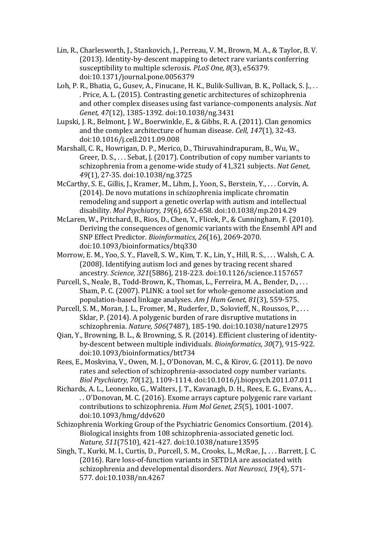- Lin, R., Charlesworth, J., Stankovich, J., Perreau, V. M., Brown, M. A., & Taylor, B. V. (2013). Identity-by-descent mapping to detect rare variants conferring susceptibility to multiple sclerosis. *PLoS One, 8*(3), e56379. doi:10.1371/journal.pone.0056379
- Loh, P. R., Bhatia, G., Gusev, A., Finucane, H. K., Bulik-Sullivan, B. K., Pollack, S. J., . . . Price, A. L. (2015). Contrasting genetic architectures of schizophrenia and other complex diseases using fast variance-components analysis. *Nat Genet, 47*(12), 1385-1392. doi:10.1038/ng.3431
- Lupski, J. R., Belmont, J. W., Boerwinkle, E., & Gibbs, R. A. (2011). Clan genomics and the complex architecture of human disease. *Cell, 147*(1), 32-43. doi:10.1016/j.cell.2011.09.008
- Marshall, C. R., Howrigan, D. P., Merico, D., Thiruvahindrapuram, B., Wu, W., Greer, D. S., . . . Sebat, J. (2017). Contribution of copy number variants to schizophrenia from a genome-wide study of 41,321 subjects. *Nat Genet, 49*(1), 27-35. doi:10.1038/ng.3725
- McCarthy, S. E., Gillis, J., Kramer, M., Lihm, J., Yoon, S., Berstein, Y., . . . Corvin, A. (2014). De novo mutations in schizophrenia implicate chromatin remodeling and support a genetic overlap with autism and intellectual disability. *Mol Psychiatry, 19*(6), 652-658. doi:10.1038/mp.2014.29
- McLaren, W., Pritchard, B., Rios, D., Chen, Y., Flicek, P., & Cunningham, F. (2010). Deriving the consequences of genomic variants with the Ensembl API and SNP Effect Predictor. *Bioinformatics, 26*(16), 2069-2070. doi:10.1093/bioinformatics/btq330
- Morrow, E. M., Yoo, S. Y., Flavell, S. W., Kim, T. K., Lin, Y., Hill, R. S., . . . Walsh, C. A. (2008). Identifying autism loci and genes by tracing recent shared ancestry. *Science, 321*(5886), 218-223. doi:10.1126/science.1157657
- Purcell, S., Neale, B., Todd-Brown, K., Thomas, L., Ferreira, M. A., Bender, D., . . . Sham, P. C. (2007). PLINK: a tool set for whole-genome association and population-based linkage analyses. *Am J Hum Genet, 81*(3), 559-575.
- Purcell, S. M., Moran, J. L., Fromer, M., Ruderfer, D., Solovieff, N., Roussos, P., ... Sklar, P. (2014). A polygenic burden of rare disruptive mutations in schizophrenia. *Nature, 506*(7487), 185-190. doi:10.1038/nature12975
- Qian, Y., Browning, B. L., & Browning, S. R. (2014). Efficient clustering of identityby-descent between multiple individuals. *Bioinformatics, 30*(7), 915-922. doi:10.1093/bioinformatics/btt734
- Rees, E., Moskvina, V., Owen, M. J., O'Donovan, M. C., & Kirov, G. (2011). De novo rates and selection of schizophrenia-associated copy number variants. *Biol Psychiatry, 70*(12), 1109-1114. doi:10.1016/j.biopsych.2011.07.011
- Richards, A. L., Leonenko, G., Walters, J. T., Kavanagh, D. H., Rees, E. G., Evans, A., . . . O'Donovan, M. C. (2016). Exome arrays capture polygenic rare variant contributions to schizophrenia. *Hum Mol Genet, 25*(5), 1001-1007. doi:10.1093/hmg/ddv620
- Schizophrenia Working Group of the Psychiatric Genomics Consortium. (2014). Biological insights from 108 schizophrenia-associated genetic loci. *Nature, 511*(7510), 421-427. doi:10.1038/nature13595
- Singh, T., Kurki, M. I., Curtis, D., Purcell, S. M., Crooks, L., McRae, J., . . . Barrett, J. C. (2016). Rare loss-of-function variants in SETD1A are associated with schizophrenia and developmental disorders. *Nat Neurosci, 19*(4), 571- 577. doi:10.1038/nn.4267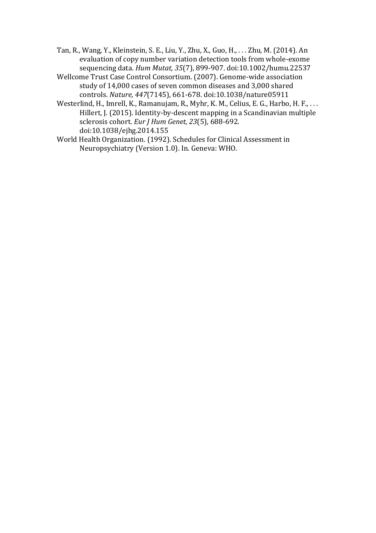- Tan, R., Wang, Y., Kleinstein, S. E., Liu, Y., Zhu, X., Guo, H., . . . Zhu, M. (2014). An evaluation of copy number variation detection tools from whole-exome sequencing data. *Hum Mutat, 35*(7), 899-907. doi:10.1002/humu.22537
- Wellcome Trust Case Control Consortium. (2007). Genome-wide association study of 14,000 cases of seven common diseases and 3,000 shared controls. *Nature, 447*(7145), 661-678. doi:10.1038/nature05911
- Westerlind, H., Imrell, K., Ramanujam, R., Myhr, K. M., Celius, E. G., Harbo, H. F., ... Hillert, J. (2015). Identity-by-descent mapping in a Scandinavian multiple sclerosis cohort. *Eur J Hum Genet, 23*(5), 688-692. doi:10.1038/ejhg.2014.155
- World Health Organization. (1992). Schedules for Clinical Assessment in Neuropsychiatry (Version 1.0). In. Geneva: WHO.